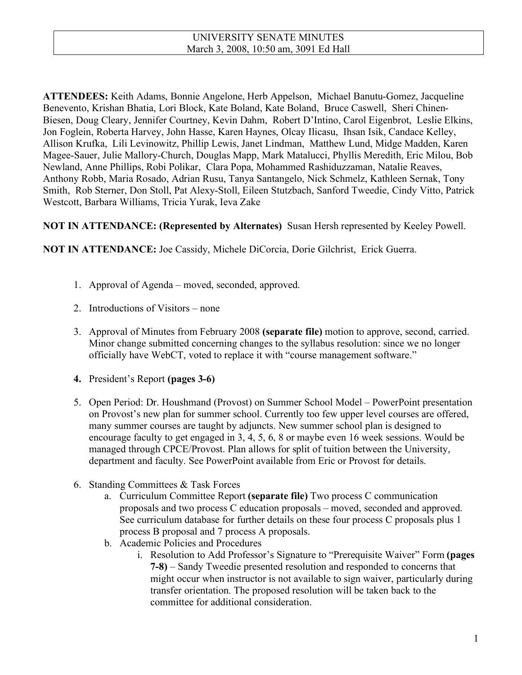**ATTENDEES:** Keith Adams, Bonnie Angelone, Herb Appelson, Michael Banutu-Gomez, Jacqueline Benevento, Krishan Bhatia, Lori Block, Kate Boland, Kate Boland, Bruce Caswell, Sheri Chinen-Biesen, Doug Cleary, Jennifer Courtney, Kevin Dahm, Robert D'Intino, Carol Eigenbrot, Leslie Elkins, Jon Foglein, Roberta Harvey, John Hasse, Karen Haynes, Olcay Ilicasu, Ihsan Isik, Candace Kelley, Allison Krufka, Lili Levinowitz, Phillip Lewis, Janet Lindman, Matthew Lund, Midge Madden, Karen Magee-Sauer, Julie Mallory-Church, Douglas Mapp, Mark Matalucci, Phyllis Meredith, Eric Milou, Bob Newland, Anne Phillips, Robi Polikar, Clara Popa, Mohammed Rashiduzzaman, Natalie Reaves, Anthony Robb, Maria Rosado, Adrian Rusu, Tanya Santangelo, Nick Schmelz, Kathleen Sernak, Tony Smith, Rob Sterner, Don Stoll, Pat Alexy-Stoll, Eileen Stutzbach, Sanford Tweedie, Cindy Vitto, Patrick Westcott, Barbara Williams, Tricia Yurak, Ieva Zake

**NOT IN ATTENDANCE: (Represented by Alternates)** Susan Hersh represented by Keeley Powell.

**NOT IN ATTENDANCE:** Joe Cassidy, Michele DiCorcia, Dorie Gilchrist, Erick Guerra.

- 1. Approval of Agenda moved, seconded, approved.
- 2. Introductions of Visitors none
- 3. Approval of Minutes from February 2008 **(separate file)** motion to approve, second, carried. Minor change submitted concerning changes to the syllabus resolution: since we no longer officially have WebCT, voted to replace it with "course management software."
- **4.** President's Report **(pages 3-6)**
- 5. Open Period: Dr. Houshmand (Provost) on Summer School Model PowerPoint presentation on Provost's new plan for summer school. Currently too few upper level courses are offered, many summer courses are taught by adjuncts. New summer school plan is designed to encourage faculty to get engaged in 3, 4, 5, 6, 8 or maybe even 16 week sessions. Would be managed through CPCE/Provost. Plan allows for split of tuition between the University, department and faculty. See PowerPoint available from Eric or Provost for details.
- 6. Standing Committees & Task Forces
	- a. Curriculum Committee Report **(separate file)** Two process C communication proposals and two process C education proposals – moved, seconded and approved. See curriculum database for further details on these four process C proposals plus 1 process B proposal and 7 process A proposals.
	- b. Academic Policies and Procedures
		- i. Resolution to Add Professor's Signature to "Prerequisite Waiver" Form **(pages 7-8)** – Sandy Tweedie presented resolution and responded to concerns that might occur when instructor is not available to sign waiver, particularly during transfer orientation. The proposed resolution will be taken back to the committee for additional consideration.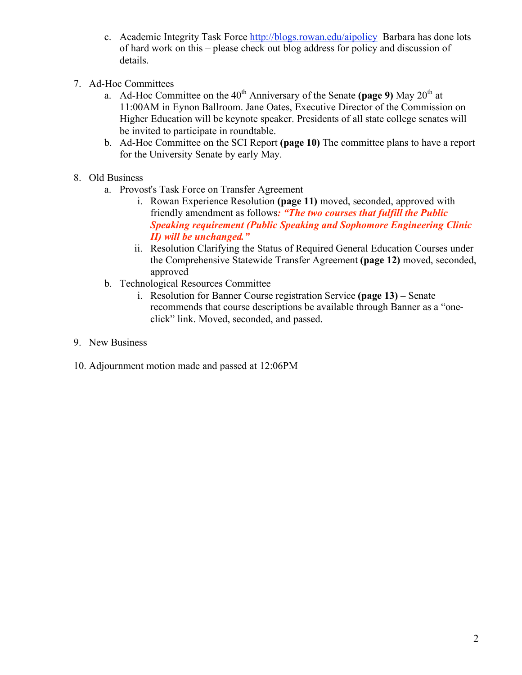- c. Academic Integrity Task Force http://blogs.rowan.edu/aipolicy Barbara has done lots of hard work on this – please check out blog address for policy and discussion of details.
- 7. Ad-Hoc Committees
	- a. Ad-Hoc Committee on the 40<sup>th</sup> Anniversary of the Senate (page 9) May 20<sup>th</sup> at 11:00AM in Eynon Ballroom. Jane Oates, Executive Director of the Commission on Higher Education will be keynote speaker. Presidents of all state college senates will be invited to participate in roundtable.
	- b. Ad-Hoc Committee on the SCI Report **(page 10)** The committee plans to have a report for the University Senate by early May.
- 8. Old Business
	- a. Provost's Task Force on Transfer Agreement
		- i. Rowan Experience Resolution **(page 11)** moved, seconded, approved with friendly amendment as follows*: "The two courses that fulfill the Public Speaking requirement (Public Speaking and Sophomore Engineering Clinic II) will be unchanged."*
		- ii. Resolution Clarifying the Status of Required General Education Courses under the Comprehensive Statewide Transfer Agreement **(page 12)** moved, seconded, approved
	- b. Technological Resources Committee
		- i. Resolution for Banner Course registration Service **(page 13) –** Senate recommends that course descriptions be available through Banner as a "oneclick" link. Moved, seconded, and passed.
- 9. New Business
- 10. Adjournment motion made and passed at 12:06PM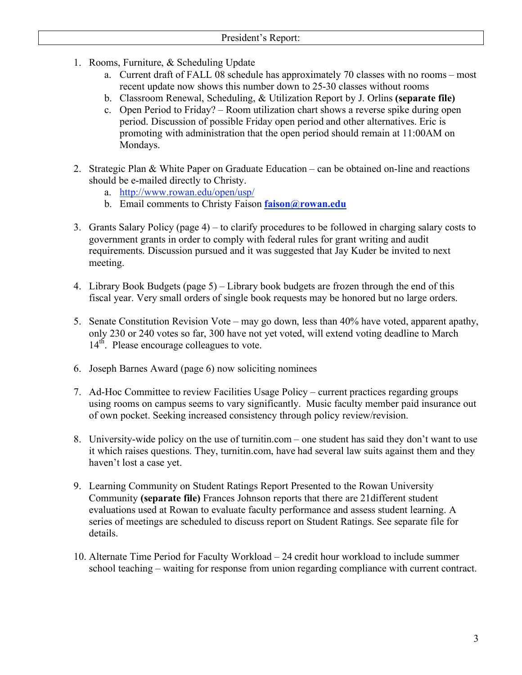- 1. Rooms, Furniture, & Scheduling Update
	- a. Current draft of FALL 08 schedule has approximately 70 classes with no rooms most recent update now shows this number down to 25-30 classes without rooms
	- b. Classroom Renewal, Scheduling, & Utilization Report by J. Orlins **(separate file)**
	- c. Open Period to Friday? Room utilization chart shows a reverse spike during open period. Discussion of possible Friday open period and other alternatives. Eric is promoting with administration that the open period should remain at 11:00AM on Mondays.
- 2. Strategic Plan & White Paper on Graduate Education can be obtained on-line and reactions should be e-mailed directly to Christy.
	- a. http://www.rowan.edu/open/usp/
	- b. Email comments to Christy Faison **faison@rowan.edu**
- 3. Grants Salary Policy (page 4) to clarify procedures to be followed in charging salary costs to government grants in order to comply with federal rules for grant writing and audit requirements. Discussion pursued and it was suggested that Jay Kuder be invited to next meeting.
- 4. Library Book Budgets (page 5) Library book budgets are frozen through the end of this fiscal year. Very small orders of single book requests may be honored but no large orders.
- 5. Senate Constitution Revision Vote may go down, less than 40% have voted, apparent apathy, only 230 or 240 votes so far, 300 have not yet voted, will extend voting deadline to March 14<sup>th</sup>. Please encourage colleagues to vote.
- 6. Joseph Barnes Award (page 6) now soliciting nominees
- 7. Ad-Hoc Committee to review Facilities Usage Policy current practices regarding groups using rooms on campus seems to vary significantly. Music faculty member paid insurance out of own pocket. Seeking increased consistency through policy review/revision.
- 8. University-wide policy on the use of turnitin.com one student has said they don't want to use it which raises questions. They, turnitin.com, have had several law suits against them and they haven't lost a case yet.
- 9. Learning Community on Student Ratings Report Presented to the Rowan University Community **(separate file)** Frances Johnson reports that there are 21different student evaluations used at Rowan to evaluate faculty performance and assess student learning. A series of meetings are scheduled to discuss report on Student Ratings. See separate file for details.
- 10. Alternate Time Period for Faculty Workload 24 credit hour workload to include summer school teaching – waiting for response from union regarding compliance with current contract.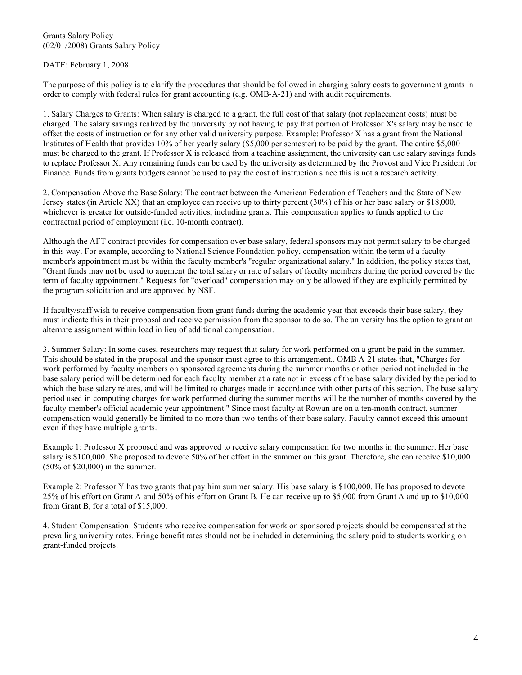Grants Salary Policy (02/01/2008) Grants Salary Policy

DATE: February 1, 2008

The purpose of this policy is to clarify the procedures that should be followed in charging salary costs to government grants in order to comply with federal rules for grant accounting (e.g. OMB-A-21) and with audit requirements.

1. Salary Charges to Grants: When salary is charged to a grant, the full cost of that salary (not replacement costs) must be charged. The salary savings realized by the university by not having to pay that portion of Professor X's salary may be used to offset the costs of instruction or for any other valid university purpose. Example: Professor X has a grant from the National Institutes of Health that provides 10% of her yearly salary (\$5,000 per semester) to be paid by the grant. The entire \$5,000 must be charged to the grant. If Professor X is released from a teaching assignment, the university can use salary savings funds to replace Professor X. Any remaining funds can be used by the university as determined by the Provost and Vice President for Finance. Funds from grants budgets cannot be used to pay the cost of instruction since this is not a research activity.

2. Compensation Above the Base Salary: The contract between the American Federation of Teachers and the State of New Jersey states (in Article XX) that an employee can receive up to thirty percent (30%) of his or her base salary or \$18,000, whichever is greater for outside-funded activities, including grants. This compensation applies to funds applied to the contractual period of employment (i.e. 10-month contract).

Although the AFT contract provides for compensation over base salary, federal sponsors may not permit salary to be charged in this way. For example, according to National Science Foundation policy, compensation within the term of a faculty member's appointment must be within the faculty member's "regular organizational salary." In addition, the policy states that, "Grant funds may not be used to augment the total salary or rate of salary of faculty members during the period covered by the term of faculty appointment." Requests for "overload" compensation may only be allowed if they are explicitly permitted by the program solicitation and are approved by NSF.

If faculty/staff wish to receive compensation from grant funds during the academic year that exceeds their base salary, they must indicate this in their proposal and receive permission from the sponsor to do so. The university has the option to grant an alternate assignment within load in lieu of additional compensation.

3. Summer Salary: In some cases, researchers may request that salary for work performed on a grant be paid in the summer. This should be stated in the proposal and the sponsor must agree to this arrangement.. OMB A-21 states that, "Charges for work performed by faculty members on sponsored agreements during the summer months or other period not included in the base salary period will be determined for each faculty member at a rate not in excess of the base salary divided by the period to which the base salary relates, and will be limited to charges made in accordance with other parts of this section. The base salary period used in computing charges for work performed during the summer months will be the number of months covered by the faculty member's official academic year appointment." Since most faculty at Rowan are on a ten-month contract, summer compensation would generally be limited to no more than two-tenths of their base salary. Faculty cannot exceed this amount even if they have multiple grants.

Example 1: Professor X proposed and was approved to receive salary compensation for two months in the summer. Her base salary is \$100,000. She proposed to devote 50% of her effort in the summer on this grant. Therefore, she can receive \$10,000 (50% of \$20,000) in the summer.

Example 2: Professor Y has two grants that pay him summer salary. His base salary is \$100,000. He has proposed to devote 25% of his effort on Grant A and 50% of his effort on Grant B. He can receive up to \$5,000 from Grant A and up to \$10,000 from Grant B, for a total of \$15,000.

4. Student Compensation: Students who receive compensation for work on sponsored projects should be compensated at the prevailing university rates. Fringe benefit rates should not be included in determining the salary paid to students working on grant-funded projects.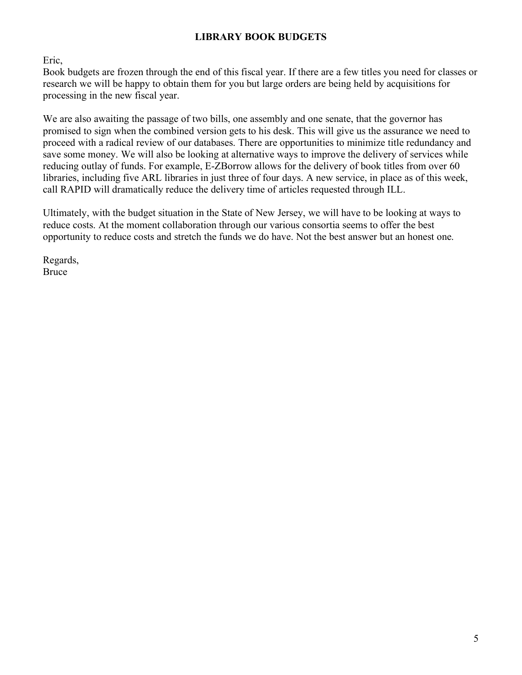# **LIBRARY BOOK BUDGETS**

Eric,

Book budgets are frozen through the end of this fiscal year. If there are a few titles you need for classes or research we will be happy to obtain them for you but large orders are being held by acquisitions for processing in the new fiscal year.

We are also awaiting the passage of two bills, one assembly and one senate, that the governor has promised to sign when the combined version gets to his desk. This will give us the assurance we need to proceed with a radical review of our databases. There are opportunities to minimize title redundancy and save some money. We will also be looking at alternative ways to improve the delivery of services while reducing outlay of funds. For example, E-ZBorrow allows for the delivery of book titles from over 60 libraries, including five ARL libraries in just three of four days. A new service, in place as of this week, call RAPID will dramatically reduce the delivery time of articles requested through ILL.

Ultimately, with the budget situation in the State of New Jersey, we will have to be looking at ways to reduce costs. At the moment collaboration through our various consortia seems to offer the best opportunity to reduce costs and stretch the funds we do have. Not the best answer but an honest one.

Regards, Bruce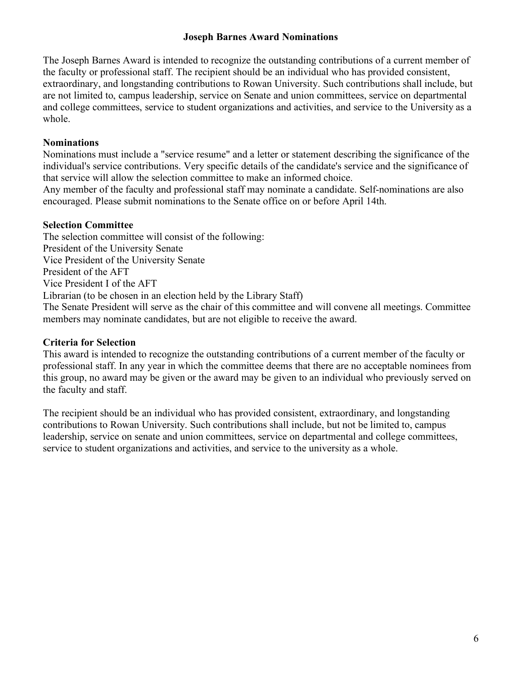### **Joseph Barnes Award Nominations**

The Joseph Barnes Award is intended to recognize the outstanding contributions of a current member of the faculty or professional staff. The recipient should be an individual who has provided consistent, extraordinary, and longstanding contributions to Rowan University. Such contributions shall include, but are not limited to, campus leadership, service on Senate and union committees, service on departmental and college committees, service to student organizations and activities, and service to the University as a whole.

## **Nominations**

Nominations must include a "service resume" and a letter or statement describing the significance of the individual's service contributions. Very specific details of the candidate's service and the significance of that service will allow the selection committee to make an informed choice.

Any member of the faculty and professional staff may nominate a candidate. Self-nominations are also encouraged. Please submit nominations to the Senate office on or before April 14th.

## **Selection Committee**

The selection committee will consist of the following: President of the University Senate Vice President of the University Senate President of the AFT Vice President I of the AFT Librarian (to be chosen in an election held by the Library Staff) The Senate President will serve as the chair of this committee and will convene all meetings. Committee members may nominate candidates, but are not eligible to receive the award.

# **Criteria for Selection**

This award is intended to recognize the outstanding contributions of a current member of the faculty or professional staff. In any year in which the committee deems that there are no acceptable nominees from this group, no award may be given or the award may be given to an individual who previously served on the faculty and staff.

The recipient should be an individual who has provided consistent, extraordinary, and longstanding contributions to Rowan University. Such contributions shall include, but not be limited to, campus leadership, service on senate and union committees, service on departmental and college committees, service to student organizations and activities, and service to the university as a whole.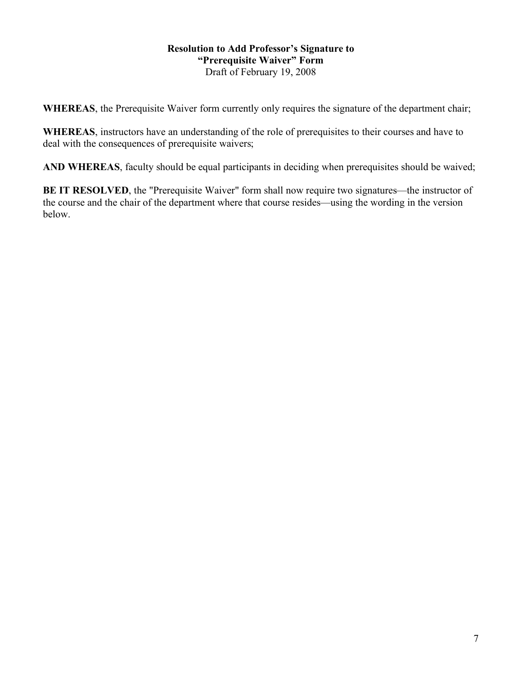#### **Resolution to Add Professor's Signature to "Prerequisite Waiver" Form** Draft of February 19, 2008

**WHEREAS**, the Prerequisite Waiver form currently only requires the signature of the department chair;

**WHEREAS**, instructors have an understanding of the role of prerequisites to their courses and have to deal with the consequences of prerequisite waivers;

**AND WHEREAS**, faculty should be equal participants in deciding when prerequisites should be waived;

**BE IT RESOLVED**, the "Prerequisite Waiver" form shall now require two signatures—the instructor of the course and the chair of the department where that course resides—using the wording in the version below.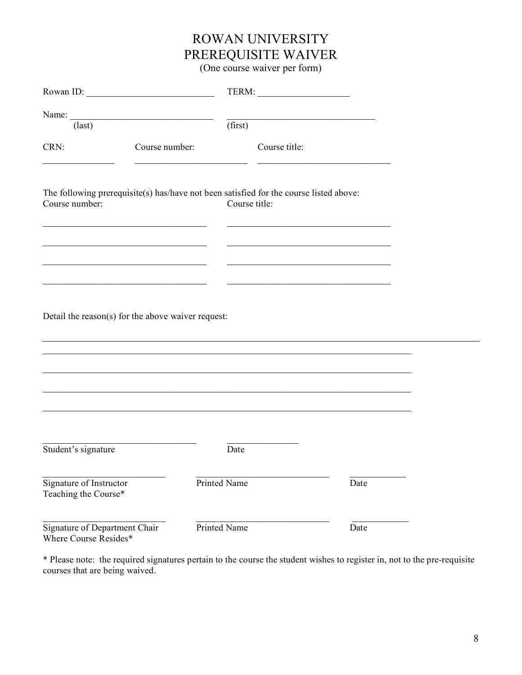# ROWAN UNIVERSITY PREREQUISITE WAIVER

(One course waiver per form)

| Rowan ID:                                              |                |                                                                                                                                   |  |
|--------------------------------------------------------|----------------|-----------------------------------------------------------------------------------------------------------------------------------|--|
| $\text{(last)}$                                        |                | <u> 1989 - Johann John Stein, market fan it ferskearre fan it ferskearre fan it ferskearre fan it ferskearre fan i</u><br>(first) |  |
| CRN:                                                   | Course number: | Course title:                                                                                                                     |  |
| Course number:                                         |                | The following prerequisite(s) has/have not been satisfied for the course listed above:<br>Course title:                           |  |
|                                                        |                |                                                                                                                                   |  |
| Detail the reason(s) for the above waiver request:     |                |                                                                                                                                   |  |
|                                                        |                |                                                                                                                                   |  |
|                                                        |                |                                                                                                                                   |  |
| Student's signature                                    |                | Date                                                                                                                              |  |
| Signature of Instructor<br>Teaching the Course*        |                | Printed Name<br>Date                                                                                                              |  |
| Signature of Department Chair<br>Where Course Resides* |                | Printed Name<br>Date                                                                                                              |  |

\* Please note: the required signatures pertain to the course the student wishes to register in, not to the pre-requisite courses that are being waived.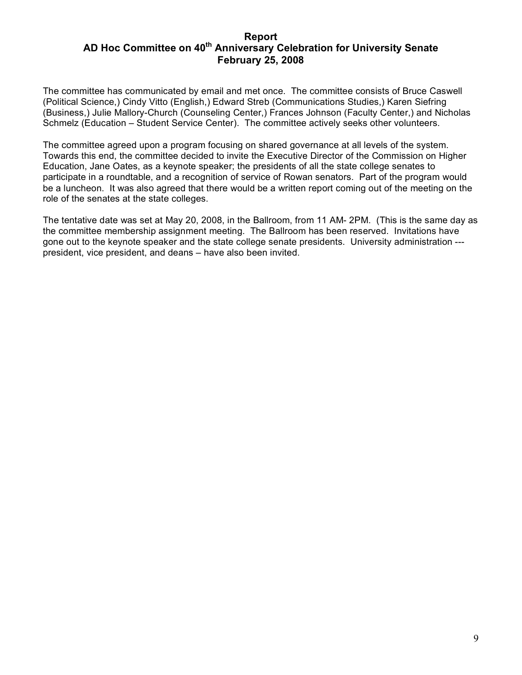#### **Report** AD Hoc Committee on 40<sup>th</sup> Anniversary Celebration for University Senate **February 25, 2008**

The committee has communicated by email and met once. The committee consists of Bruce Caswell (Political Science,) Cindy Vitto (English,) Edward Streb (Communications Studies,) Karen Siefring (Business,) Julie Mallory-Church (Counseling Center,) Frances Johnson (Faculty Center,) and Nicholas Schmelz (Education – Student Service Center). The committee actively seeks other volunteers.

The committee agreed upon a program focusing on shared governance at all levels of the system. Towards this end, the committee decided to invite the Executive Director of the Commission on Higher Education, Jane Oates, as a keynote speaker; the presidents of all the state college senates to participate in a roundtable, and a recognition of service of Rowan senators. Part of the program would be a luncheon. It was also agreed that there would be a written report coming out of the meeting on the role of the senates at the state colleges.

The tentative date was set at May 20, 2008, in the Ballroom, from 11 AM- 2PM. (This is the same day as the committee membership assignment meeting. The Ballroom has been reserved. Invitations have gone out to the keynote speaker and the state college senate presidents. University administration -- president, vice president, and deans – have also been invited.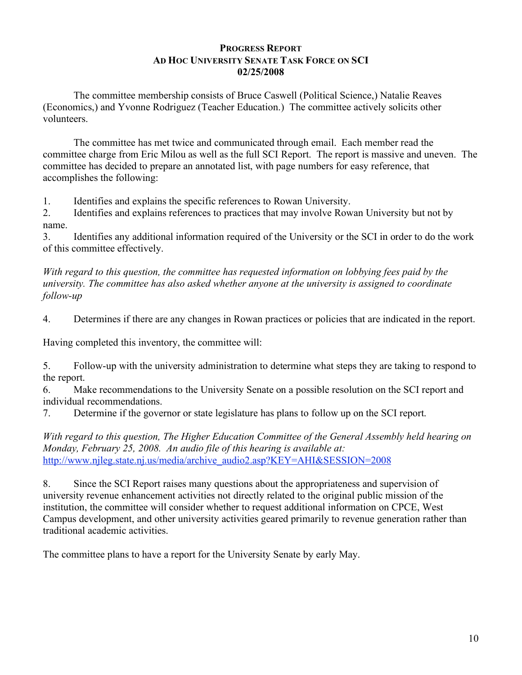#### **PROGRESS REPORT AD HOC UNIVERSITY SENATE TASK FORCE ON SCI 02/25/2008**

The committee membership consists of Bruce Caswell (Political Science,) Natalie Reaves (Economics,) and Yvonne Rodriguez (Teacher Education.) The committee actively solicits other volunteers.

The committee has met twice and communicated through email. Each member read the committee charge from Eric Milou as well as the full SCI Report. The report is massive and uneven. The committee has decided to prepare an annotated list, with page numbers for easy reference, that accomplishes the following:

1. Identifies and explains the specific references to Rowan University.

2. Identifies and explains references to practices that may involve Rowan University but not by name.

3. Identifies any additional information required of the University or the SCI in order to do the work of this committee effectively.

*With regard to this question, the committee has requested information on lobbying fees paid by the university. The committee has also asked whether anyone at the university is assigned to coordinate follow-up*

4. Determines if there are any changes in Rowan practices or policies that are indicated in the report.

Having completed this inventory, the committee will:

5. Follow-up with the university administration to determine what steps they are taking to respond to the report.

6. Make recommendations to the University Senate on a possible resolution on the SCI report and individual recommendations.

7. Determine if the governor or state legislature has plans to follow up on the SCI report.

*With regard to this question, The Higher Education Committee of the General Assembly held hearing on Monday, February 25, 2008. An audio file of this hearing is available at:* http://www.njleg.state.nj.us/media/archive\_audio2.asp?KEY=AHI&SESSION=2008

8. Since the SCI Report raises many questions about the appropriateness and supervision of university revenue enhancement activities not directly related to the original public mission of the institution, the committee will consider whether to request additional information on CPCE, West Campus development, and other university activities geared primarily to revenue generation rather than traditional academic activities.

The committee plans to have a report for the University Senate by early May.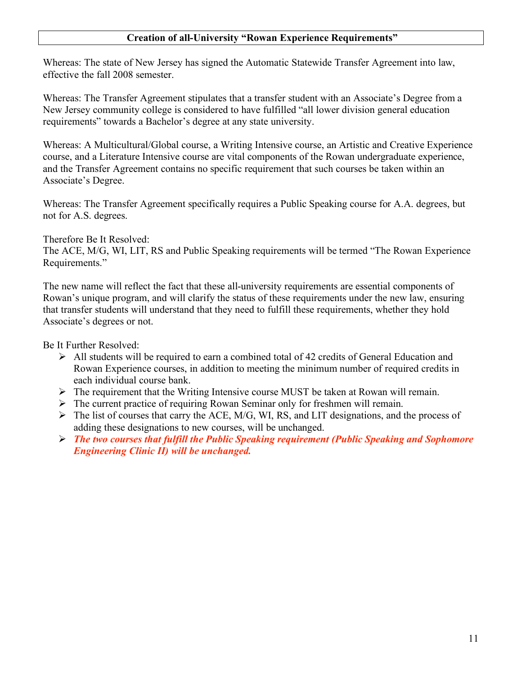#### **Creation of all-University "Rowan Experience Requirements"**

Whereas: The state of New Jersey has signed the Automatic Statewide Transfer Agreement into law, effective the fall 2008 semester.

Whereas: The Transfer Agreement stipulates that a transfer student with an Associate's Degree from a New Jersey community college is considered to have fulfilled "all lower division general education requirements" towards a Bachelor's degree at any state university.

Whereas: A Multicultural/Global course, a Writing Intensive course, an Artistic and Creative Experience course, and a Literature Intensive course are vital components of the Rowan undergraduate experience, and the Transfer Agreement contains no specific requirement that such courses be taken within an Associate's Degree.

Whereas: The Transfer Agreement specifically requires a Public Speaking course for A.A. degrees, but not for A.S. degrees.

#### Therefore Be It Resolved:

The ACE, M/G, WI, LIT, RS and Public Speaking requirements will be termed "The Rowan Experience Requirements."

The new name will reflect the fact that these all-university requirements are essential components of Rowan's unique program, and will clarify the status of these requirements under the new law, ensuring that transfer students will understand that they need to fulfill these requirements, whether they hold Associate's degrees or not.

Be It Further Resolved:

- $\triangleright$  All students will be required to earn a combined total of 42 credits of General Education and Rowan Experience courses, in addition to meeting the minimum number of required credits in each individual course bank.
- $\triangleright$  The requirement that the Writing Intensive course MUST be taken at Rowan will remain.
- $\triangleright$  The current practice of requiring Rowan Seminar only for freshmen will remain.
- $\triangleright$  The list of courses that carry the ACE, M/G, WI, RS, and LIT designations, and the process of adding these designations to new courses, will be unchanged.
- *The two courses that fulfill the Public Speaking requirement (Public Speaking and Sophomore Engineering Clinic II) will be unchanged.*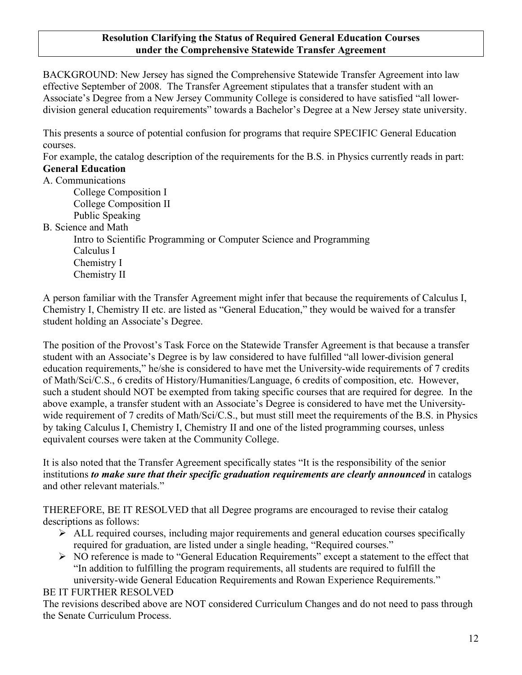#### **Resolution Clarifying the Status of Required General Education Courses under the Comprehensive Statewide Transfer Agreement**

BACKGROUND: New Jersey has signed the Comprehensive Statewide Transfer Agreement into law effective September of 2008. The Transfer Agreement stipulates that a transfer student with an Associate's Degree from a New Jersey Community College is considered to have satisfied "all lowerdivision general education requirements" towards a Bachelor's Degree at a New Jersey state university.

This presents a source of potential confusion for programs that require SPECIFIC General Education courses.

For example, the catalog description of the requirements for the B.S. in Physics currently reads in part: **General Education**

## A. Communications

College Composition I College Composition II Public Speaking

B. Science and Math

Intro to Scientific Programming or Computer Science and Programming Calculus I Chemistry I Chemistry II

A person familiar with the Transfer Agreement might infer that because the requirements of Calculus I, Chemistry I, Chemistry II etc. are listed as "General Education," they would be waived for a transfer student holding an Associate's Degree.

The position of the Provost's Task Force on the Statewide Transfer Agreement is that because a transfer student with an Associate's Degree is by law considered to have fulfilled "all lower-division general education requirements," he/she is considered to have met the University-wide requirements of 7 credits of Math/Sci/C.S., 6 credits of History/Humanities/Language, 6 credits of composition, etc. However, such a student should NOT be exempted from taking specific courses that are required for degree. In the above example, a transfer student with an Associate's Degree is considered to have met the Universitywide requirement of 7 credits of Math/Sci/C.S., but must still meet the requirements of the B.S. in Physics by taking Calculus I, Chemistry I, Chemistry II and one of the listed programming courses, unless equivalent courses were taken at the Community College.

It is also noted that the Transfer Agreement specifically states "It is the responsibility of the senior institutions *to make sure that their specific graduation requirements are clearly announced* in catalogs and other relevant materials."

THEREFORE, BE IT RESOLVED that all Degree programs are encouraged to revise their catalog descriptions as follows:

- $\triangleright$  ALL required courses, including major requirements and general education courses specifically required for graduation, are listed under a single heading, "Required courses."
- $\triangleright$  NO reference is made to "General Education Requirements" except a statement to the effect that "In addition to fulfilling the program requirements, all students are required to fulfill the university-wide General Education Requirements and Rowan Experience Requirements."

## BE IT FURTHER RESOLVED

The revisions described above are NOT considered Curriculum Changes and do not need to pass through the Senate Curriculum Process.